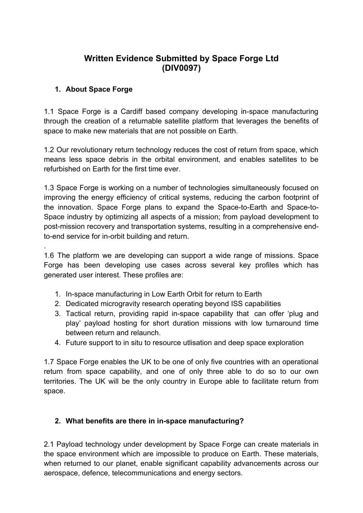## **Written Evidence Submitted by Space Forge Ltd (DIV0097)**

#### **1. About Space Forge**

.

1.1 Space Forge is a Cardiff based company developing in-space manufacturing through the creation of a returnable satellite platform that leverages the benefits of space to make new materials that are not possible on Earth.

1.2 Our revolutionary return technology reduces the cost of return from space, which means less space debris in the orbital environment, and enables satellites to be refurbished on Earth for the first time ever.

1.3 Space Forge is working on a number of technologies simultaneously focused on improving the energy efficiency of critical systems, reducing the carbon footprint of the innovation. Space Forge plans to expand the Space-to-Earth and Space-to-Space industry by optimizing all aspects of a mission; from payload development to post-mission recovery and transportation systems, resulting in a comprehensive endto-end service for in-orbit building and return.

1.6 The platform we are developing can support a wide range of missions. Space Forge has been developing use cases across several key profiles which has generated user interest. These profiles are:

- 1. In-space manufacturing in Low Earth Orbit for return to Earth
- 2. Dedicated microgravity research operating beyond ISS capabilities
- 3. Tactical return, providing rapid in-space capability that can offer 'plug and play' payload hosting for short duration missions with low turnaround time between return and relaunch.
- 4. Future support to in situ to resource utlisation and deep space exploration

1.7 Space Forge enables the UK to be one of only five countries with an operational return from space capability, and one of only three able to do so to our own territories. The UK will be the only country in Europe able to facilitate return from space.

#### **2. What benefits are there in in-space manufacturing?**

2.1 Payload technology under development by Space Forge can create materials in the space environment which are impossible to produce on Earth. These materials, when returned to our planet, enable significant capability advancements across our aerospace, defence, telecommunications and energy sectors.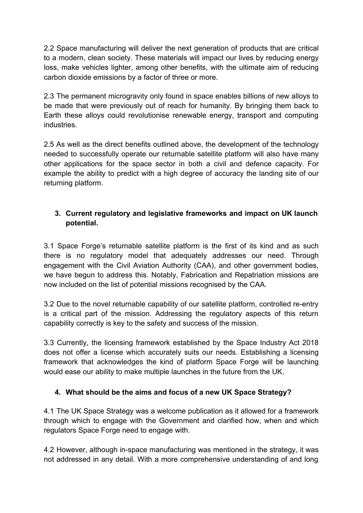2.2 Space manufacturing will deliver the next generation of products that are critical to a modern, clean society. These materials will impact our lives by reducing energy loss, make vehicles lighter, among other benefits, with the ultimate aim of reducing carbon dioxide emissions by a factor of three or more.

2.3 The permanent microgravity only found in space enables billions of new alloys to be made that were previously out of reach for humanity. By bringing them back to Earth these alloys could revolutionise renewable energy, transport and computing industries.

2.5 As well as the direct benefits outlined above, the development of the technology needed to successfully operate our returnable satellite platform will also have many other applications for the space sector in both a civil and defence capacity. For example the ability to predict with a high degree of accuracy the landing site of our returning platform.

### **3. Current regulatory and legislative frameworks and impact on UK launch potential.**

3.1 Space Forge's returnable satellite platform is the first of its kind and as such there is no regulatory model that adequately addresses our need. Through engagement with the Civil Aviation Authority (CAA), and other government bodies, we have begun to address this. Notably, Fabrication and Repatriation missions are now included on the list of potential missions recognised by the CAA.

3.2 Due to the novel returnable capability of our satellite platform, controlled re-entry is a critical part of the mission. Addressing the regulatory aspects of this return capability correctly is key to the safety and success of the mission.

3.3 Currently, the licensing framework established by the Space Industry Act 2018 does not offer a license which accurately suits our needs. Establishing a licensing framework that acknowledges the kind of platform Space Forge will be launching would ease our ability to make multiple launches in the future from the UK.

#### **4. What should be the aims and focus of a new UK Space Strategy?**

4.1 The UK Space Strategy was a welcome publication as it allowed for a framework through which to engage with the Government and clarified how, when and which regulators Space Forge need to engage with.

4.2 However, although in-space manufacturing was mentioned in the strategy, it was not addressed in any detail. With a more comprehensive understanding of and long